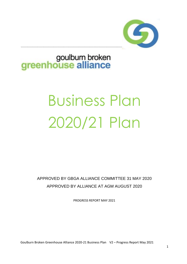

## goulbum broken<br>greenhouse alliance

# Business Plan 2020/21 Plan

APPROVED BY GBGA ALLIANCE COMMITTEE 31 MAY 2020 APPROVED BY ALLIANCE AT AGM AUGUST 2020

PROGRESS REPORT MAY 2021

Goulburn Broken Greenhouse Alliance 2020-21 Business Plan V2 – Progress Report May 2021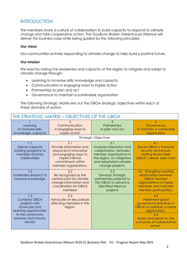### **INTRODUCTION**

The members share a culture of collaboration to build capacity to respond to climate change and take cooperative action. The Goulburn Broken Greenhouse Alliance will deliver this business case while being guided by the following principles;

#### **Our vision**

Our communities actively responding to climate change to help build a positive future.

#### **Our mission**

We lead by raising the awareness and capacity of the region to mitigate and adapt to climate change through:

- Learning to increase skills, knowledge and capacity
- Communication in engaging ways to inspire action
- Partnerships to plan and act
- Governance to maintain a sustainable organisation

The following Strategic Matrix sets out the GBGA strategic objectives within each of these domains of action.

| THE STRATEGIC MATRIX - OBJECTIVES OF THE GBGA                                                                                           |                                                                                                                                                     |                                                                                                                                                                 |                                                                                                                                                                                  |
|-----------------------------------------------------------------------------------------------------------------------------------------|-----------------------------------------------------------------------------------------------------------------------------------------------------|-----------------------------------------------------------------------------------------------------------------------------------------------------------------|----------------------------------------------------------------------------------------------------------------------------------------------------------------------------------|
| Learning<br>to increase skills,<br>knowledge, capacity                                                                                  | Communication<br>in engaging ways to<br>inspire action                                                                                              | З<br>Partnerships<br>to plan and act                                                                                                                            | Governance<br>to maintain a sustainable<br>organisation                                                                                                                          |
|                                                                                                                                         |                                                                                                                                                     | <b>Strategic Objectives</b>                                                                                                                                     |                                                                                                                                                                                  |
| 1.1<br>Deliver capacity<br>building programs to<br>members and key<br>stakeholders                                                      | 2.1<br>Provide information and<br>resources in innovative<br>and engaging ways to<br>inspire internal<br>commitment within<br>member organisations. | 3.1<br>Increase interaction and<br>collaboration, between<br>member organisations in<br>the region, on mitigation<br>and adaptation climate<br>change projects. | 4.1<br><b>Ensure GBGA's financial</b><br>security and ensure<br>staffing levels meet<br>GBGA's needs. (see note)                                                                 |
| 1.2<br>Undertake research to<br>increase knowledge.                                                                                     | 2.2<br>Be recognised as the<br>central point for climate<br>change information and<br>coordination for GBGA<br>members                              | 3.2<br>Develop strategic<br>partnerships external to<br>the GBGA to advance<br>identified Alliance<br>projects                                                  | 4.2 Strengthen existing<br>relationships between<br><b>GBGA</b> member<br>organisations to inspire<br>members and maintain<br>member participation.                              |
| 1.3<br>Combine GBGA<br>projects with<br>showcase and<br>learning opportunities<br>to the community,<br>business and industry<br>sectors | 2.3<br>Advocate on key policies<br>affecting members in the<br>region.                                                                              |                                                                                                                                                                 | 4.3<br>Implement good<br>governance practices in<br><b>GBGA</b> to maintain a stable<br>organisation.<br>4.4<br>Assess and report on the<br>outcomes of collaborative<br>action. |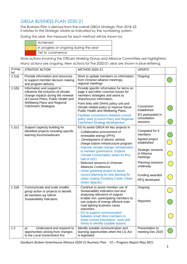## GBGA BUSINESS PLAN 2020-21

The Business Plan is derived from the overall GBGA Strategic Plan 2018-22. It relates to the Strategic Matrix as indicated by the numbering system.

During the year, the measure for each method will be shown by

| Achieved                               |
|----------------------------------------|
| In progress or ongoing during the year |
| Yet to commence                        |

Note actions involving the Officers Working Group and Alliance Committee are highlighted. Many actions are ongoing. New actions for the 2020/21 year are shown in blue lettering,

| Strategy<br>Ref | <b>STRATEGY ACTION</b>                                                                                                                       | METHOD 2020-21                                                                                                                                                                                                                                                                                                                                                                                                                                                                                                                             | <b>UPDATE</b>                                                                                                                                                                    |  |
|-----------------|----------------------------------------------------------------------------------------------------------------------------------------------|--------------------------------------------------------------------------------------------------------------------------------------------------------------------------------------------------------------------------------------------------------------------------------------------------------------------------------------------------------------------------------------------------------------------------------------------------------------------------------------------------------------------------------------------|----------------------------------------------------------------------------------------------------------------------------------------------------------------------------------|--|
| 1.1(a)          | Provide information and resources<br>to support member decision making<br>and program delivery                                               | Work to update members on information<br>from Victorian alliance meetings,<br>regional meetings                                                                                                                                                                                                                                                                                                                                                                                                                                            | Ongoing                                                                                                                                                                          |  |
| 1,1(b)          | Information and support to<br>influence the inclusion of climate<br>change impacts during the renewal<br>of Council Plans, Public Health and | Provide specific information for items on<br>page 4 and other common issues for<br>members strategies and assist to<br>share/source information.                                                                                                                                                                                                                                                                                                                                                                                           |                                                                                                                                                                                  |  |
|                 | <b>Wellbeing Plans and Regional</b><br><b>Catchment Strategies</b>                                                                           | Form links with DHHS policy unit and<br>climate related policy to improve future<br>Public Health and Wellbeing Plans.                                                                                                                                                                                                                                                                                                                                                                                                                     | Connection<br>established                                                                                                                                                        |  |
|                 |                                                                                                                                              | Facilitate connections between council<br>policy work (Council Plan) and Regional<br>Catchment Strategy development.                                                                                                                                                                                                                                                                                                                                                                                                                       | EO particpated in<br>consultation<br>sessions                                                                                                                                    |  |
| 1.1(c)          | Support capacity building for<br>identified projects including specific<br>learning forums/webinars                                          | EO to assist GBGA for key projects in<br>- Collaborative procurement of<br>renewable energy (PPA)<br>Development of electric vehicle<br>charge station infrastructure program<br>- Improve climate change consideration<br>in member governance. Explore<br><b>Climate Conversation series for first</b><br>half of 2021<br>- Relevant sessions in Victorian<br><b>Alliances Conference</b><br>- Urban greening project to assist<br>council planning for tree planting for<br>urban cooling (Growing Cooler Urban<br><b>Green Spaces)</b> | Competed for 9<br>members<br>Agreed project<br>established<br>Strategic sessions<br>in Alliance<br>meetings<br>Planning sessions<br>underway<br>Funding awarded<br>RFQ developed |  |
| 1.1(d)          | Communicate and scale smaller<br>group action or projects to benefit<br>all members eg GBGA<br>Sustainability Indicators                     | - Continue to assist member use of<br>Sustainability Indicators tool and<br>analysing relevance of outputs<br>- Enable non- participating members to<br>use outputs of energy efficient main<br>road lighting business cases<br>outcomes.<br>- EO to support communication<br>between small shire members to<br>foster shared information -work with<br>shires to identify suitable actions                                                                                                                                                | Ongoing<br>Reported                                                                                                                                                              |  |
| 1.2             | Understand and respond to<br>a)<br>opportunities arising from changes<br>to the Local Government Act                                         | Identify suitable communication and<br>learning opportunities when the LG Act<br>is legislated.                                                                                                                                                                                                                                                                                                                                                                                                                                            | Presentation to<br>meeting Dec 2020                                                                                                                                              |  |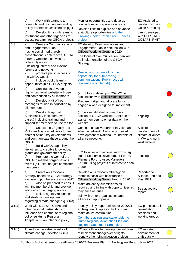|        | b)<br>Work with partners to<br>research, and build understanding<br>of key partner issues listed on pg 4<br>Develop links with learning<br>C)<br>institutions and other agencies to<br>access research for GBGA projects                                                                                                                                       | Monitor opportunities and develop<br>connections to prepare for actions.<br>Develop links to explore and advance<br>agriculture opportunities and the<br><b>Growing Cooler Urban Green Spaces</b><br>project                                                                                                                   | EO Assisted to<br>develop DELWP<br>Guide & training<br>Links developed<br>with DFFS, RRV,<br>GOTAFE, RMIT |  |
|--------|----------------------------------------------------------------------------------------------------------------------------------------------------------------------------------------------------------------------------------------------------------------------------------------------------------------------------------------------------------------|--------------------------------------------------------------------------------------------------------------------------------------------------------------------------------------------------------------------------------------------------------------------------------------------------------------------------------|-----------------------------------------------------------------------------------------------------------|--|
| 1.3    | Create a Communications<br>a)<br>and Engagement Plan<br>- using social media, web,<br>presentations, conferences, GBGA<br>forums, webinars, showcase,<br>videos, flyers etc<br>- including internal and external<br>forums and networks<br>promote public access of<br>the GBGA website<br>Include public learning<br>b)<br>opportunities in all GBGA projects | EO develop Communications and<br>Engagement Plan in conjunction with<br>Officers Working Group in 2020<br>The focus of Communication Plan will<br>be implementation of the GBGA<br>Strategy<br>Resource constraints limit the<br>opportunity for public facing<br>communications; Public focus will<br>concentrate on item (b) |                                                                                                           |  |
| 2.1    | a)<br>Continue to develop a<br>highly functional website with use<br>and contribution by all members<br>b)<br>Develop a kit of key<br>messages for use in education by<br>all members                                                                                                                                                                          | (a) (b) EO to develop in 2020/21 in<br>conjunction with Officer Working Group<br>Prepare budget and allocate funds to<br>engage a web designed to implement.                                                                                                                                                                   |                                                                                                           |  |
|        | Develop Regional<br>C)<br>Sustainability Indicators (web<br>based) including training and<br>support for members to use the tool                                                                                                                                                                                                                               | (c) Tool established on members<br>section of GBGA website. Continue to<br>assist members to enter data on the<br>website.                                                                                                                                                                                                     | ongoing                                                                                                   |  |
| 2.2    | a)<br>Use council, agency and<br>Victorian Alliance networks to keep<br>abreast of industry developments<br>and communicate these around the<br>GBGA.<br>b)<br>Build GBGA capability to<br>link others to credible knowledge,                                                                                                                                  | Continue as active partner in Victorian<br>Alliance network. Assist in proposed<br>development of National Roundtable of<br>alliance networks.                                                                                                                                                                                 | Assisted<br>development of<br>climate alliances<br>in WA and north<br>west Victoria                       |  |
|        | grants and government policy<br>Promote the work of the<br>$\mathbf{C}$<br>GBGA to member organisations<br>overall (all units, not just committee<br>members)                                                                                                                                                                                                  | EO to liaise with regional networks eg<br>Hume Economic Development Forum,<br>Planners Forum, Asset Managers<br>Forum, using projects of interest to each<br>group.                                                                                                                                                            | ongoing                                                                                                   |  |
| 2.3    | Create an Advocacy<br>a)<br>Strategy based on GBGA strategy<br>- where to put the advocacy effort?<br>Also be prepared to consult<br>b)                                                                                                                                                                                                                        | Develop an Advocacy Strategy on<br>thematic basis with assistance of<br>Officers Working Group through 2020<br>Make advocacy submissions as                                                                                                                                                                                    | Reported to<br>Alliance Feb and<br>May 2021                                                               |  |
|        | with the membership and provide<br>advocacy on emerging issues<br>Link to agency responses<br>C)<br>and strategy development<br>regarding climate change e.g 3.1(a)                                                                                                                                                                                            | required and in line with opportunities as<br>they arise.as arise.<br>Join with other organisations and<br>alliances if appropriate.                                                                                                                                                                                           | See advocacy<br>report                                                                                    |  |
| 3.1(a) | Work with DELWP, CMAs and<br>other regional partnerships to<br>influence and contribute to regional<br>policy eg Hume Regional<br>Adaptation Plan, planning policy                                                                                                                                                                                             | Identify policy opportunities for 2020/21<br>eg Regional Adaptation Policy - and<br>make active contribution<br>Contribute as regional stakeholder to<br>Hume Regional Adaptation Plan and<br><b>Regional Catchment Strategies.</b>                                                                                            | EO participated in<br>consultation<br>sessions and<br>working groups                                      |  |
| 3.1(b) | To reduce the extreme risks of<br>climate change, develop GBGA                                                                                                                                                                                                                                                                                                 | EO and officers to develop forward plan<br>to implement changeover of lights.<br>Identify other joint mitigation projects                                                                                                                                                                                                      | EO assisted<br>development of<br>draft plan with                                                          |  |

Goulburn Broken Greenhouse Alliance 2020-21 Business Plan V2 – Progress Report May 2021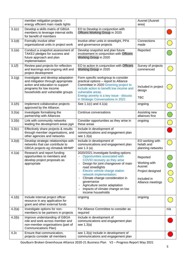|        | member mitigation projects -<br>energy efficient main roads lights                                                                                                         |                                                                                                                                                                                                                                                                                                                                                                                                         | Ausnet (Ausnet<br>area)                                                                    |     |
|--------|----------------------------------------------------------------------------------------------------------------------------------------------------------------------------|---------------------------------------------------------------------------------------------------------------------------------------------------------------------------------------------------------------------------------------------------------------------------------------------------------------------------------------------------------------------------------------------------------|--------------------------------------------------------------------------------------------|-----|
| 3.1(c) | Develop a skills matrix of GBGA<br>members to leverage internal skills<br>for benefit of members                                                                           | EO to Develop in conjunction with<br>Officers Working Group in 2020                                                                                                                                                                                                                                                                                                                                     |                                                                                            |     |
| 3.1(d) | Formally involve other<br>organisational units in project work                                                                                                             | Involve other units in streetlight, PPA<br>and governance projects                                                                                                                                                                                                                                                                                                                                      | Connections<br>made                                                                        |     |
| 3.1(e) | Conduct a snapshot assessment of<br>TAKE2 pledges for success and<br>future approach and plan<br>implementation                                                            | Develop snapshot and plan future<br>involvement in conjunction with Officers<br>Working Group in 2020                                                                                                                                                                                                                                                                                                   | Reported                                                                                   |     |
| 3.1(f) | Review past projects for reflection<br>and learnings and ongoing skill and<br>project development                                                                          | EO to action in conjunction with Officers<br>Working Group in 2020                                                                                                                                                                                                                                                                                                                                      | Survey of projects<br>commenced                                                            |     |
| 3.1(g) | Investigate and develop adaptation<br>and mitigation through appropriate<br>action and education to support<br>programs for low income<br>households and vulnerable groups | Form specific workgroup to consider<br>practical options - report to Alliance<br>Committee in 2020 Greening project to<br>include action to benefit low income and<br>vulnerable areas.<br>Energy poverty is a key issue - discuss<br>in Strategic Conversations in 2021                                                                                                                                | Included in project<br>design<br><b>TBC</b>                                                |     |
| 3.1(h) | Implement collaborative projects<br>approved by the Alliance.                                                                                                              | See 1.1(c) and 4.1(a)                                                                                                                                                                                                                                                                                                                                                                                   | ongoing                                                                                    |     |
| 3.2(a) | Investigate formalising the<br>partnership with Alliances                                                                                                                  | Continue conversations                                                                                                                                                                                                                                                                                                                                                                                  | Assisting new<br>allainces first                                                           |     |
| 3.2(b) | Link with community networks<br>leading the development areas pg4                                                                                                          | Consider opportunities as they arise in<br>these areas                                                                                                                                                                                                                                                                                                                                                  | ongoing                                                                                    |     |
| 3.2(c) | Effectively share projects & results<br>through member organisations, and<br>other agencies and networks                                                                   | Include in development of<br>communications and engagement plan<br>see 1.3(a)                                                                                                                                                                                                                                                                                                                           |                                                                                            |     |
| 3.2(d) | Develop strategic relationships with<br>networks that can contribute to<br>GBGA projects eg climate& MHWP                                                                  | Include in development of<br>communications and engagement plan<br>see 1.3 (a)                                                                                                                                                                                                                                                                                                                          | EO working with<br>helath and<br>planning networks                                         |     |
| 4.1(a) | Research and report funding<br>opportunities to members and<br>develop project proposals as<br>appropriate                                                                 | 2020/2021 investigate funding options<br>Opportunities associated with<br>$\overline{\phantom{a}}$<br>COVID recovery as they arise<br>Design for joint changeover of main<br>road streetlights<br>Electric vehicle charge station<br>network implementation;<br>Climate change consideration in<br>governance<br>Agriculture sector adaptation<br>Impacts of climate change on low<br>income households | Reported<br>Working with<br>Ausnet<br>Project designed<br>Included in<br>Alliance meetings |     |
| 4.1(b) | Include internal project officer<br>resource in any application for<br>grant and other external funds                                                                      | ongoing                                                                                                                                                                                                                                                                                                                                                                                                 | ongoing                                                                                    |     |
| 4.2(a) | Investigate options for non-<br>members to be partners in projects                                                                                                         | For Alliance Committee to consider as<br>required                                                                                                                                                                                                                                                                                                                                                       |                                                                                            | n/a |
| 4.2(b) | Improve understanding of GBGA<br>role and work across member and<br>non-member organisations (part of<br>Communications Plan)                                              | Include in development of<br>communications and engagement plan<br>see 1.3(a)                                                                                                                                                                                                                                                                                                                           |                                                                                            |     |
| 4.2c   | Ensure that communication,<br>projects consider all members                                                                                                                | see 1.3(a) Include in development of<br>communications and engagement plan                                                                                                                                                                                                                                                                                                                              |                                                                                            |     |

Goulburn Broken Greenhouse Alliance 2020-21 Business Plan V2 – Progress Report May 2021